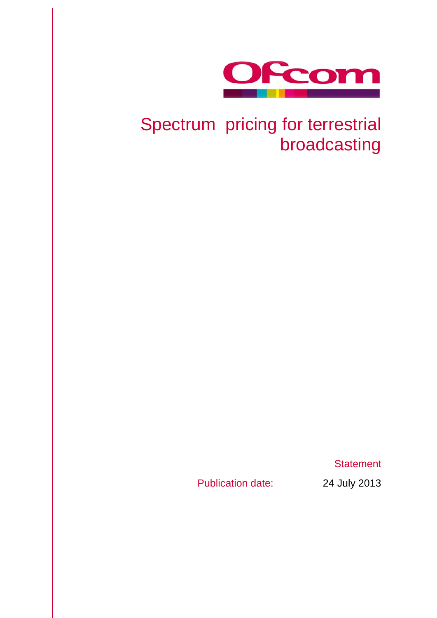

## Spectrum pricing for terrestrial broadcasting

**Statement** 

Publication date: 24 July 2013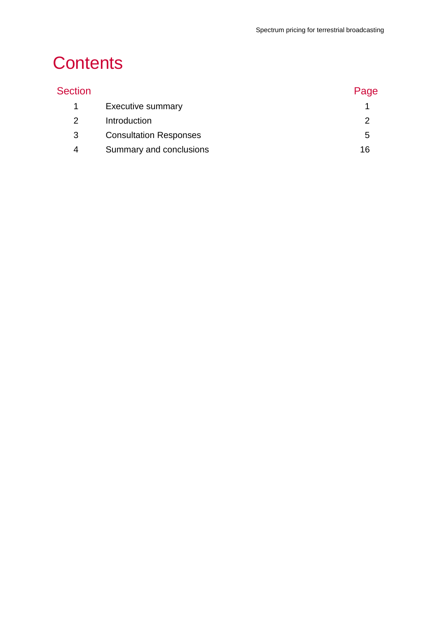# **Contents**

| <b>Section</b> |                               | Page |
|----------------|-------------------------------|------|
| $\mathbf 1$    | <b>Executive summary</b>      |      |
| 2              | Introduction                  |      |
| 3              | <b>Consultation Responses</b> | 5    |
| 4              | Summary and conclusions       | 16   |
|                |                               |      |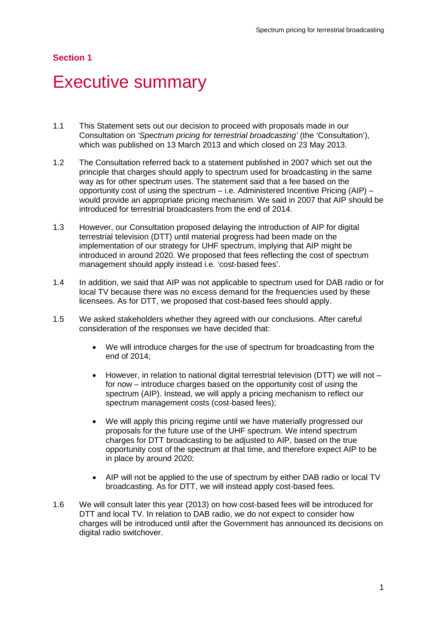## <span id="page-3-0"></span>**Executive summary**

- 1.1 This Statement sets out our decision to proceed with proposals made in our Consultation on *'Spectrum pricing for terrestrial broadcasting'* (the 'Consultation'), which was published on 13 March 2013 and which closed on 23 May 2013.
- 1.2 The Consultation referred back to a statement published in 2007 which set out the principle that charges should apply to spectrum used for broadcasting in the same way as for other spectrum uses. The statement said that a fee based on the opportunity cost of using the spectrum – i.e. Administered Incentive Pricing (AIP) – would provide an appropriate pricing mechanism. We said in 2007 that AIP should be introduced for terrestrial broadcasters from the end of 2014.
- 1.3 However, our Consultation proposed delaying the introduction of AIP for digital terrestrial television (DTT) until material progress had been made on the implementation of our strategy for UHF spectrum, implying that AIP might be introduced in around 2020. We proposed that fees reflecting the cost of spectrum management should apply instead i.e. 'cost-based fees'.
- 1.4 In addition, we said that AIP was not applicable to spectrum used for DAB radio or for local TV because there was no excess demand for the frequencies used by these licensees. As for DTT, we proposed that cost-based fees should apply.
- 1.5 We asked stakeholders whether they agreed with our conclusions. After careful consideration of the responses we have decided that:
	- We will introduce charges for the use of spectrum for broadcasting from the end of 2014;
	- $\bullet$  However, in relation to national digital terrestrial television (DTT) we will not  $$ for now – introduce charges based on the opportunity cost of using the spectrum (AIP). Instead, we will apply a pricing mechanism to reflect our spectrum management costs (cost-based fees);
	- We will apply this pricing regime until we have materially progressed our proposals for the future use of the UHF spectrum. We intend spectrum charges for DTT broadcasting to be adjusted to AIP, based on the true opportunity cost of the spectrum at that time, and therefore expect AIP to be in place by around 2020;
	- AIP will not be applied to the use of spectrum by either DAB radio or local TV broadcasting. As for DTT, we will instead apply cost-based fees.
- 1.6 We will consult later this year (2013) on how cost-based fees will be introduced for DTT and local TV. In relation to DAB radio, we do not expect to consider how charges will be introduced until after the Government has announced its decisions on digital radio switchover.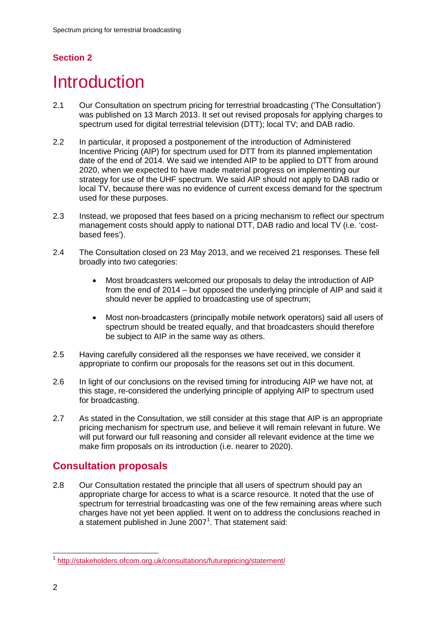## <span id="page-4-0"></span>**Introduction**

- 2.1 Our Consultation on spectrum pricing for terrestrial broadcasting ('The Consultation') was published on 13 March 2013. It set out revised proposals for applying charges to spectrum used for digital terrestrial television (DTT); local TV; and DAB radio.
- 2.2 In particular, it proposed a postponement of the introduction of Administered Incentive Pricing (AIP) for spectrum used for DTT from its planned implementation date of the end of 2014. We said we intended AIP to be applied to DTT from around 2020, when we expected to have made material progress on implementing our strategy for use of the UHF spectrum. We said AIP should not apply to DAB radio or local TV, because there was no evidence of current excess demand for the spectrum used for these purposes.
- 2.3 Instead, we proposed that fees based on a pricing mechanism to reflect our spectrum management costs should apply to national DTT, DAB radio and local TV (i.e. 'costbased fees').
- 2.4 The Consultation closed on 23 May 2013, and we received 21 responses. These fell broadly into two categories:
	- Most broadcasters welcomed our proposals to delay the introduction of AIP from the end of 2014 – but opposed the underlying principle of AIP and said it should never be applied to broadcasting use of spectrum;
	- Most non-broadcasters (principally mobile network operators) said all users of spectrum should be treated equally, and that broadcasters should therefore be subject to AIP in the same way as others.
- 2.5 Having carefully considered all the responses we have received, we consider it appropriate to confirm our proposals for the reasons set out in this document.
- 2.6 In light of our conclusions on the revised timing for introducing AIP we have not, at this stage, re-considered the underlying principle of applying AIP to spectrum used for broadcasting.
- 2.7 As stated in the Consultation, we still consider at this stage that AIP is an appropriate pricing mechanism for spectrum use, and believe it will remain relevant in future. We will put forward our full reasoning and consider all relevant evidence at the time we make firm proposals on its introduction (i.e. nearer to 2020).

## **Consultation proposals**

2.8 Our Consultation restated the principle that all users of spectrum should pay an appropriate charge for access to what is a scarce resource. It noted that the use of spectrum for terrestrial broadcasting was one of the few remaining areas where such charges have not yet been applied. It went on to address the conclusions reached in a statement published in June  $2007<sup>1</sup>$  $2007<sup>1</sup>$  $2007<sup>1</sup>$ . That statement said:

<span id="page-4-1"></span> <sup>1</sup> <http://stakeholders.ofcom.org.uk/consultations/futurepricing/statement/>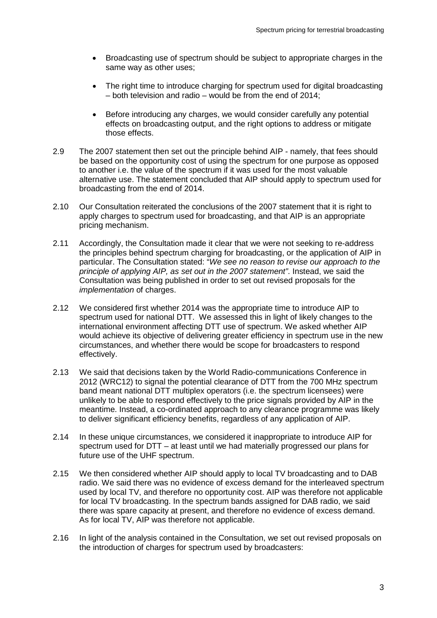- Broadcasting use of spectrum should be subject to appropriate charges in the same way as other uses;
- The right time to introduce charging for spectrum used for digital broadcasting – both television and radio – would be from the end of  $2014$ ;
- Before introducing any charges, we would consider carefully any potential effects on broadcasting output, and the right options to address or mitigate those effects.
- 2.9 The 2007 statement then set out the principle behind AIP namely, that fees should be based on the opportunity cost of using the spectrum for one purpose as opposed to another i.e. the value of the spectrum if it was used for the most valuable alternative use. The statement concluded that AIP should apply to spectrum used for broadcasting from the end of 2014.
- 2.10 Our Consultation reiterated the conclusions of the 2007 statement that it is right to apply charges to spectrum used for broadcasting, and that AIP is an appropriate pricing mechanism.
- 2.11 Accordingly, the Consultation made it clear that we were not seeking to re-address the principles behind spectrum charging for broadcasting, or the application of AIP in particular. The Consultation stated: "*We see no reason to revise our approach to the principle of applying AIP, as set out in the 2007 statement"*. Instead, we said the Consultation was being published in order to set out revised proposals for the *implementation* of charges.
- 2.12 We considered first whether 2014 was the appropriate time to introduce AIP to spectrum used for national DTT. We assessed this in light of likely changes to the international environment affecting DTT use of spectrum. We asked whether AIP would achieve its objective of delivering greater efficiency in spectrum use in the new circumstances, and whether there would be scope for broadcasters to respond effectively.
- 2.13 We said that decisions taken by the World Radio-communications Conference in 2012 (WRC12) to signal the potential clearance of DTT from the 700 MHz spectrum band meant national DTT multiplex operators (i.e. the spectrum licensees) were unlikely to be able to respond effectively to the price signals provided by AIP in the meantime. Instead, a co-ordinated approach to any clearance programme was likely to deliver significant efficiency benefits, regardless of any application of AIP.
- 2.14 In these unique circumstances, we considered it inappropriate to introduce AIP for spectrum used for DTT – at least until we had materially progressed our plans for future use of the UHF spectrum.
- 2.15 We then considered whether AIP should apply to local TV broadcasting and to DAB radio. We said there was no evidence of excess demand for the interleaved spectrum used by local TV, and therefore no opportunity cost. AIP was therefore not applicable for local TV broadcasting. In the spectrum bands assigned for DAB radio, we said there was spare capacity at present, and therefore no evidence of excess demand. As for local TV, AIP was therefore not applicable.
- 2.16 In light of the analysis contained in the Consultation, we set out revised proposals on the introduction of charges for spectrum used by broadcasters: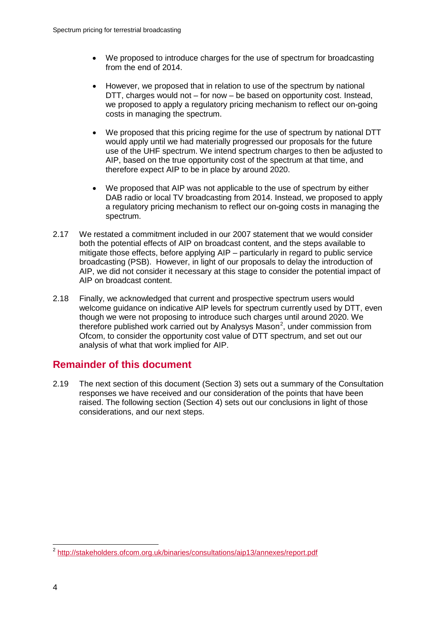- We proposed to introduce charges for the use of spectrum for broadcasting from the end of 2014.
- However, we proposed that in relation to use of the spectrum by national DTT, charges would not – for now – be based on opportunity cost. Instead, we proposed to apply a regulatory pricing mechanism to reflect our on-going costs in managing the spectrum.
- We proposed that this pricing regime for the use of spectrum by national DTT would apply until we had materially progressed our proposals for the future use of the UHF spectrum. We intend spectrum charges to then be adjusted to AIP, based on the true opportunity cost of the spectrum at that time, and therefore expect AIP to be in place by around 2020.
- We proposed that AIP was not applicable to the use of spectrum by either DAB radio or local TV broadcasting from 2014. Instead, we proposed to apply a regulatory pricing mechanism to reflect our on-going costs in managing the spectrum.
- 2.17 We restated a commitment included in our 2007 statement that we would consider both the potential effects of AIP on broadcast content, and the steps available to mitigate those effects, before applying AIP – particularly in regard to public service broadcasting (PSB). However, in light of our proposals to delay the introduction of AIP, we did not consider it necessary at this stage to consider the potential impact of AIP on broadcast content.
- 2.18 Finally, we acknowledged that current and prospective spectrum users would welcome guidance on indicative AIP levels for spectrum currently used by DTT, even though we were not proposing to introduce such charges until around 2020. We therefore published work carried out by Analysys Mason<sup>[2](#page-6-0)</sup>, under commission from Ofcom, to consider the opportunity cost value of DTT spectrum, and set out our analysis of what that work implied for AIP.

### **Remainder of this document**

2.19 The next section of this document (Section 3) sets out a summary of the Consultation responses we have received and our consideration of the points that have been raised. The following section (Section 4) sets out our conclusions in light of those considerations, and our next steps.

<span id="page-6-0"></span> <sup>2</sup> <http://stakeholders.ofcom.org.uk/binaries/consultations/aip13/annexes/report.pdf>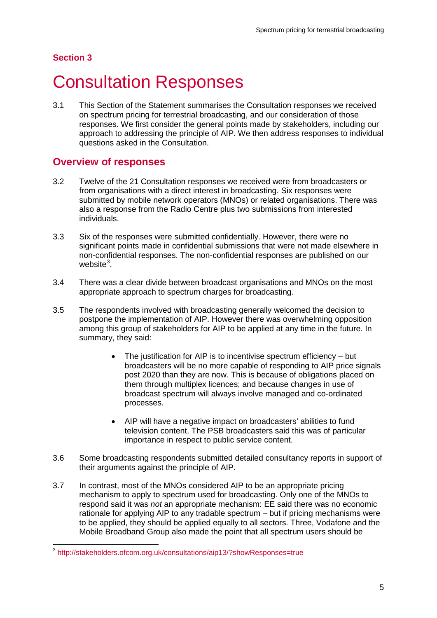## <span id="page-7-0"></span>**Consultation Responses**

3.1 This Section of the Statement summarises the Consultation responses we received on spectrum pricing for terrestrial broadcasting, and our consideration of those responses. We first consider the general points made by stakeholders, including our approach to addressing the principle of AIP. We then address responses to individual questions asked in the Consultation.

### **Overview of responses**

- 3.2 Twelve of the 21 Consultation responses we received were from broadcasters or from organisations with a direct interest in broadcasting. Six responses were submitted by mobile network operators (MNOs) or related organisations. There was also a response from the Radio Centre plus two submissions from interested individuals.
- 3.3 Six of the responses were submitted confidentially. However, there were no significant points made in confidential submissions that were not made elsewhere in non-confidential responses. The non-confidential responses are published on our website<sup>[3](#page-7-1)</sup>.
- 3.4 There was a clear divide between broadcast organisations and MNOs on the most appropriate approach to spectrum charges for broadcasting.
- 3.5 The respondents involved with broadcasting generally welcomed the decision to postpone the implementation of AIP. However there was overwhelming opposition among this group of stakeholders for AIP to be applied at any time in the future. In summary, they said:
	- The justification for AIP is to incentivise spectrum efficiency but broadcasters will be no more capable of responding to AIP price signals post 2020 than they are now. This is because of obligations placed on them through multiplex licences; and because changes in use of broadcast spectrum will always involve managed and co-ordinated processes.
	- AIP will have a negative impact on broadcasters' abilities to fund television content. The PSB broadcasters said this was of particular importance in respect to public service content.
- 3.6 Some broadcasting respondents submitted detailed consultancy reports in support of their arguments against the principle of AIP.
- 3.7 In contrast, most of the MNOs considered AIP to be an appropriate pricing mechanism to apply to spectrum used for broadcasting. Only one of the MNOs to respond said it was *not* an appropriate mechanism: EE said there was no economic rationale for applying AIP to any tradable spectrum – but if pricing mechanisms were to be applied, they should be applied equally to all sectors. Three, Vodafone and the Mobile Broadband Group also made the point that all spectrum users should be

<span id="page-7-1"></span> <sup>3</sup> <http://stakeholders.ofcom.org.uk/consultations/aip13/?showResponses=true>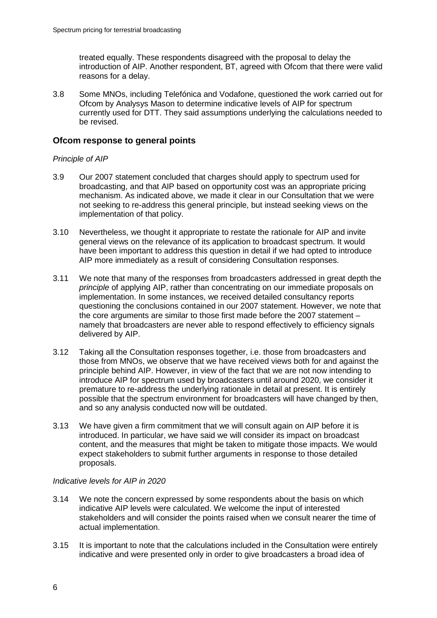treated equally. These respondents disagreed with the proposal to delay the introduction of AIP. Another respondent, BT, agreed with Ofcom that there were valid reasons for a delay.

3.8 Some MNOs, including Telefónica and Vodafone, questioned the work carried out for Ofcom by Analysys Mason to determine indicative levels of AIP for spectrum currently used for DTT. They said assumptions underlying the calculations needed to be revised.

#### **Ofcom response to general points**

#### *Principle of AIP*

- 3.9 Our 2007 statement concluded that charges should apply to spectrum used for broadcasting, and that AIP based on opportunity cost was an appropriate pricing mechanism. As indicated above, we made it clear in our Consultation that we were not seeking to re-address this general principle, but instead seeking views on the implementation of that policy.
- 3.10 Nevertheless, we thought it appropriate to restate the rationale for AIP and invite general views on the relevance of its application to broadcast spectrum. It would have been important to address this question in detail if we had opted to introduce AIP more immediately as a result of considering Consultation responses.
- 3.11 We note that many of the responses from broadcasters addressed in great depth the *principle* of applying AIP, rather than concentrating on our immediate proposals on implementation. In some instances, we received detailed consultancy reports questioning the conclusions contained in our 2007 statement. However, we note that the core arguments are similar to those first made before the 2007 statement – namely that broadcasters are never able to respond effectively to efficiency signals delivered by AIP.
- 3.12 Taking all the Consultation responses together, i.e. those from broadcasters and those from MNOs, we observe that we have received views both for and against the principle behind AIP. However, in view of the fact that we are not now intending to introduce AIP for spectrum used by broadcasters until around 2020, we consider it premature to re-address the underlying rationale in detail at present. It is entirely possible that the spectrum environment for broadcasters will have changed by then, and so any analysis conducted now will be outdated.
- 3.13 We have given a firm commitment that we will consult again on AIP before it is introduced. In particular, we have said we will consider its impact on broadcast content, and the measures that might be taken to mitigate those impacts. We would expect stakeholders to submit further arguments in response to those detailed proposals.

#### *Indicative levels for AIP in 2020*

- 3.14 We note the concern expressed by some respondents about the basis on which indicative AIP levels were calculated. We welcome the input of interested stakeholders and will consider the points raised when we consult nearer the time of actual implementation.
- 3.15 It is important to note that the calculations included in the Consultation were entirely indicative and were presented only in order to give broadcasters a broad idea of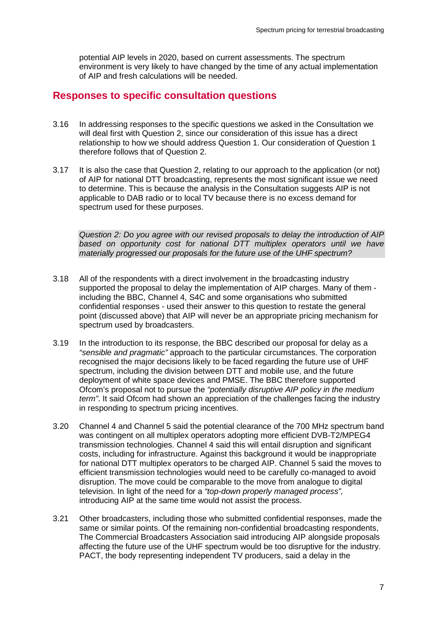potential AIP levels in 2020, based on current assessments. The spectrum environment is very likely to have changed by the time of any actual implementation of AIP and fresh calculations will be needed.

### **Responses to specific consultation questions**

- 3.16 In addressing responses to the specific questions we asked in the Consultation we will deal first with Question 2, since our consideration of this issue has a direct relationship to how we should address Question 1. Our consideration of Question 1 therefore follows that of Question 2.
- 3.17 It is also the case that Question 2, relating to our approach to the application (or not) of AIP for national DTT broadcasting, represents the most significant issue we need to determine. This is because the analysis in the Consultation suggests AIP is not applicable to DAB radio or to local TV because there is no excess demand for spectrum used for these purposes.

*Question 2: Do you agree with our revised proposals to delay the introduction of AIP based on opportunity cost for national DTT multiplex operators until we have materially progressed our proposals for the future use of the UHF spectrum?* 

- 3.18 All of the respondents with a direct involvement in the broadcasting industry supported the proposal to delay the implementation of AIP charges. Many of them including the BBC, Channel 4, S4C and some organisations who submitted confidential responses - used their answer to this question to restate the general point (discussed above) that AIP will never be an appropriate pricing mechanism for spectrum used by broadcasters.
- 3.19 In the introduction to its response, the BBC described our proposal for delay as a *"sensible and pragmatic"* approach to the particular circumstances. The corporation recognised the major decisions likely to be faced regarding the future use of UHF spectrum, including the division between DTT and mobile use, and the future deployment of white space devices and PMSE. The BBC therefore supported Ofcom's proposal not to pursue the *"potentially disruptive AIP policy in the medium term"*. It said Ofcom had shown an appreciation of the challenges facing the industry in responding to spectrum pricing incentives.
- 3.20 Channel 4 and Channel 5 said the potential clearance of the 700 MHz spectrum band was contingent on all multiplex operators adopting more efficient DVB-T2/MPEG4 transmission technologies. Channel 4 said this will entail disruption and significant costs, including for infrastructure. Against this background it would be inappropriate for national DTT multiplex operators to be charged AIP. Channel 5 said the moves to efficient transmission technologies would need to be carefully co-managed to avoid disruption. The move could be comparable to the move from analogue to digital television. In light of the need for a *"top-down properly managed process",*  introducing AIP at the same time would not assist the process.
- 3.21 Other broadcasters, including those who submitted confidential responses, made the same or similar points. Of the remaining non-confidential broadcasting respondents, The Commercial Broadcasters Association said introducing AIP alongside proposals affecting the future use of the UHF spectrum would be too disruptive for the industry. PACT, the body representing independent TV producers, said a delay in the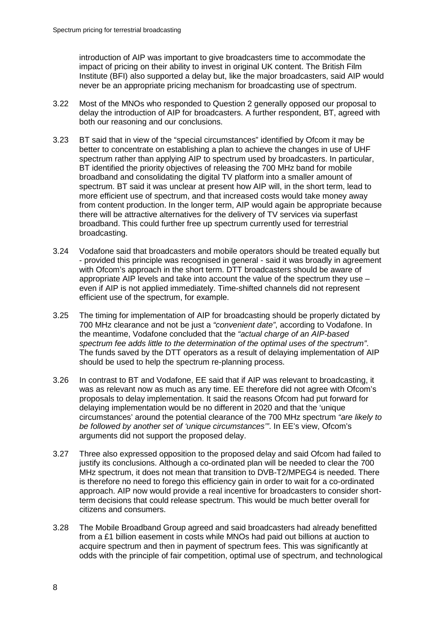introduction of AIP was important to give broadcasters time to accommodate the impact of pricing on their ability to invest in original UK content. The British Film Institute (BFI) also supported a delay but, like the major broadcasters, said AIP would never be an appropriate pricing mechanism for broadcasting use of spectrum.

- 3.22 Most of the MNOs who responded to Question 2 generally opposed our proposal to delay the introduction of AIP for broadcasters. A further respondent, BT, agreed with both our reasoning and our conclusions.
- 3.23 BT said that in view of the "special circumstances" identified by Ofcom it may be better to concentrate on establishing a plan to achieve the changes in use of UHF spectrum rather than applying AIP to spectrum used by broadcasters. In particular, BT identified the priority objectives of releasing the 700 MHz band for mobile broadband and consolidating the digital TV platform into a smaller amount of spectrum. BT said it was unclear at present how AIP will, in the short term, lead to more efficient use of spectrum, and that increased costs would take money away from content production. In the longer term, AIP would again be appropriate because there will be attractive alternatives for the delivery of TV services via superfast broadband. This could further free up spectrum currently used for terrestrial broadcasting.
- 3.24 Vodafone said that broadcasters and mobile operators should be treated equally but - provided this principle was recognised in general - said it was broadly in agreement with Ofcom's approach in the short term. DTT broadcasters should be aware of appropriate AIP levels and take into account the value of the spectrum they use – even if AIP is not applied immediately. Time-shifted channels did not represent efficient use of the spectrum, for example.
- 3.25 The timing for implementation of AIP for broadcasting should be properly dictated by 700 MHz clearance and not be just a *"convenient date"*, according to Vodafone. In the meantime, Vodafone concluded that the *"actual charge of an AIP-based spectrum fee adds little to the determination of the optimal uses of the spectrum"*. The funds saved by the DTT operators as a result of delaying implementation of AIP should be used to help the spectrum re-planning process.
- 3.26 In contrast to BT and Vodafone, EE said that if AIP was relevant to broadcasting, it was as relevant now as much as any time. EE therefore did not agree with Ofcom's proposals to delay implementation. It said the reasons Ofcom had put forward for delaying implementation would be no different in 2020 and that the 'unique circumstances' around the potential clearance of the 700 MHz spectrum *"are likely to be followed by another set of 'unique circumstances'"*. In EE's view, Ofcom's arguments did not support the proposed delay.
- 3.27 Three also expressed opposition to the proposed delay and said Ofcom had failed to justify its conclusions. Although a co-ordinated plan will be needed to clear the 700 MHz spectrum, it does not mean that transition to DVB-T2/MPEG4 is needed. There is therefore no need to forego this efficiency gain in order to wait for a co-ordinated approach. AIP now would provide a real incentive for broadcasters to consider shortterm decisions that could release spectrum. This would be much better overall for citizens and consumers.
- 3.28 The Mobile Broadband Group agreed and said broadcasters had already benefitted from a £1 billion easement in costs while MNOs had paid out billions at auction to acquire spectrum and then in payment of spectrum fees. This was significantly at odds with the principle of fair competition, optimal use of spectrum, and technological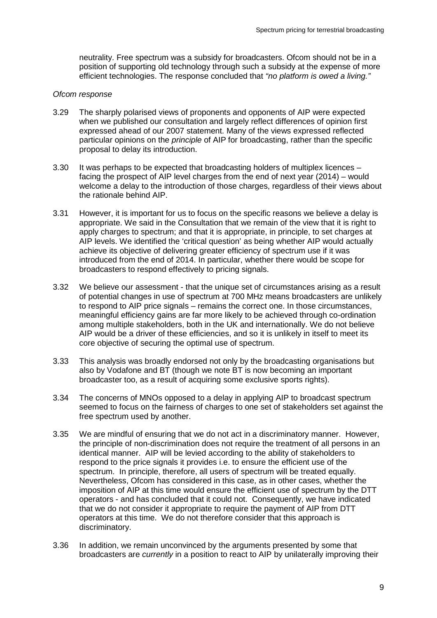neutrality. Free spectrum was a subsidy for broadcasters. Ofcom should not be in a position of supporting old technology through such a subsidy at the expense of more efficient technologies. The response concluded that *"no platform is owed a living."*

#### *Ofcom response*

- 3.29 The sharply polarised views of proponents and opponents of AIP were expected when we published our consultation and largely reflect differences of opinion first expressed ahead of our 2007 statement. Many of the views expressed reflected particular opinions on the *principle* of AIP for broadcasting, rather than the specific proposal to delay its introduction.
- 3.30 It was perhaps to be expected that broadcasting holders of multiplex licences facing the prospect of AIP level charges from the end of next year (2014) – would welcome a delay to the introduction of those charges, regardless of their views about the rationale behind AIP.
- 3.31 However, it is important for us to focus on the specific reasons we believe a delay is appropriate. We said in the Consultation that we remain of the view that it is right to apply charges to spectrum; and that it is appropriate, in principle, to set charges at AIP levels. We identified the 'critical question' as being whether AIP would actually achieve its objective of delivering greater efficiency of spectrum use if it was introduced from the end of 2014. In particular, whether there would be scope for broadcasters to respond effectively to pricing signals.
- 3.32 We believe our assessment that the unique set of circumstances arising as a result of potential changes in use of spectrum at 700 MHz means broadcasters are unlikely to respond to AIP price signals – remains the correct one. In those circumstances, meaningful efficiency gains are far more likely to be achieved through co-ordination among multiple stakeholders, both in the UK and internationally. We do not believe AIP would be a driver of these efficiencies, and so it is unlikely in itself to meet its core objective of securing the optimal use of spectrum.
- 3.33 This analysis was broadly endorsed not only by the broadcasting organisations but also by Vodafone and BT (though we note BT is now becoming an important broadcaster too, as a result of acquiring some exclusive sports rights).
- 3.34 The concerns of MNOs opposed to a delay in applying AIP to broadcast spectrum seemed to focus on the fairness of charges to one set of stakeholders set against the free spectrum used by another.
- 3.35 We are mindful of ensuring that we do not act in a discriminatory manner. However, the principle of non-discrimination does not require the treatment of all persons in an identical manner. AIP will be levied according to the ability of stakeholders to respond to the price signals it provides i.e. to ensure the efficient use of the spectrum. In principle, therefore, all users of spectrum will be treated equally. Nevertheless, Ofcom has considered in this case, as in other cases, whether the imposition of AIP at this time would ensure the efficient use of spectrum by the DTT operators - and has concluded that it could not. Consequently, we have indicated that we do not consider it appropriate to require the payment of AIP from DTT operators at this time. We do not therefore consider that this approach is discriminatory.
- 3.36 In addition, we remain unconvinced by the arguments presented by some that broadcasters are *currently* in a position to react to AIP by unilaterally improving their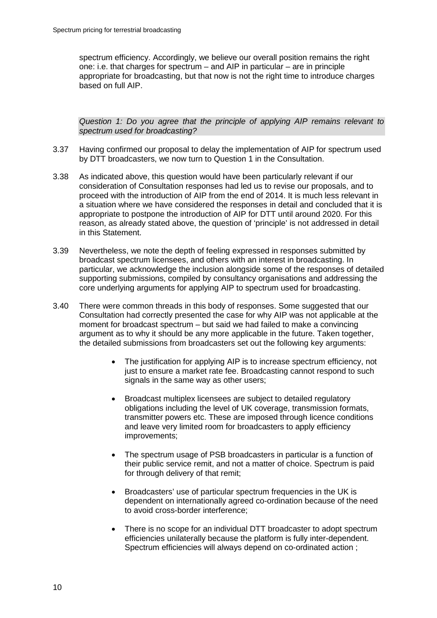spectrum efficiency. Accordingly, we believe our overall position remains the right one: i.e. that charges for spectrum – and AIP in particular – are in principle appropriate for broadcasting, but that now is not the right time to introduce charges based on full AIP.

*Question 1: Do you agree that the principle of applying AIP remains relevant to spectrum used for broadcasting?*

- 3.37 Having confirmed our proposal to delay the implementation of AIP for spectrum used by DTT broadcasters, we now turn to Question 1 in the Consultation.
- 3.38 As indicated above, this question would have been particularly relevant if our consideration of Consultation responses had led us to revise our proposals, and to proceed with the introduction of AIP from the end of 2014. It is much less relevant in a situation where we have considered the responses in detail and concluded that it is appropriate to postpone the introduction of AIP for DTT until around 2020. For this reason, as already stated above, the question of 'principle' is not addressed in detail in this Statement.
- 3.39 Nevertheless, we note the depth of feeling expressed in responses submitted by broadcast spectrum licensees, and others with an interest in broadcasting. In particular, we acknowledge the inclusion alongside some of the responses of detailed supporting submissions, compiled by consultancy organisations and addressing the core underlying arguments for applying AIP to spectrum used for broadcasting.
- 3.40 There were common threads in this body of responses. Some suggested that our Consultation had correctly presented the case for why AIP was not applicable at the moment for broadcast spectrum – but said we had failed to make a convincing argument as to why it should be any more applicable in the future. Taken together, the detailed submissions from broadcasters set out the following key arguments:
	- The justification for applying AIP is to increase spectrum efficiency, not just to ensure a market rate fee. Broadcasting cannot respond to such signals in the same way as other users;
	- Broadcast multiplex licensees are subject to detailed regulatory obligations including the level of UK coverage, transmission formats, transmitter powers etc. These are imposed through licence conditions and leave very limited room for broadcasters to apply efficiency improvements;
	- The spectrum usage of PSB broadcasters in particular is a function of their public service remit, and not a matter of choice. Spectrum is paid for through delivery of that remit;
	- Broadcasters' use of particular spectrum frequencies in the UK is dependent on internationally agreed co-ordination because of the need to avoid cross-border interference;
	- There is no scope for an individual DTT broadcaster to adopt spectrum efficiencies unilaterally because the platform is fully inter-dependent. Spectrum efficiencies will always depend on co-ordinated action ;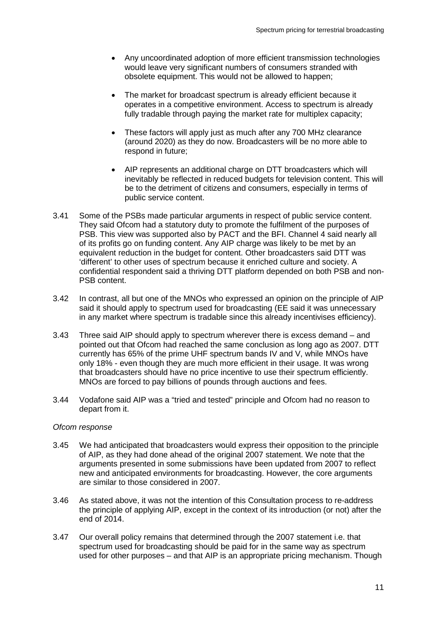- Any uncoordinated adoption of more efficient transmission technologies would leave very significant numbers of consumers stranded with obsolete equipment. This would not be allowed to happen;
- The market for broadcast spectrum is already efficient because it operates in a competitive environment. Access to spectrum is already fully tradable through paying the market rate for multiplex capacity;
- These factors will apply just as much after any 700 MHz clearance (around 2020) as they do now. Broadcasters will be no more able to respond in future;
- AIP represents an additional charge on DTT broadcasters which will inevitably be reflected in reduced budgets for television content. This will be to the detriment of citizens and consumers, especially in terms of public service content.
- 3.41 Some of the PSBs made particular arguments in respect of public service content. They said Ofcom had a statutory duty to promote the fulfilment of the purposes of PSB. This view was supported also by PACT and the BFI. Channel 4 said nearly all of its profits go on funding content. Any AIP charge was likely to be met by an equivalent reduction in the budget for content. Other broadcasters said DTT was 'different' to other uses of spectrum because it enriched culture and society. A confidential respondent said a thriving DTT platform depended on both PSB and non-PSB content.
- 3.42 In contrast, all but one of the MNOs who expressed an opinion on the principle of AIP said it should apply to spectrum used for broadcasting (EE said it was unnecessary in any market where spectrum is tradable since this already incentivises efficiency).
- 3.43 Three said AIP should apply to spectrum wherever there is excess demand and pointed out that Ofcom had reached the same conclusion as long ago as 2007. DTT currently has 65% of the prime UHF spectrum bands IV and V, while MNOs have only 18% - even though they are much more efficient in their usage. It was wrong that broadcasters should have no price incentive to use their spectrum efficiently. MNOs are forced to pay billions of pounds through auctions and fees.
- 3.44 Vodafone said AIP was a "tried and tested" principle and Ofcom had no reason to depart from it.

#### *Ofcom response*

- 3.45 We had anticipated that broadcasters would express their opposition to the principle of AIP, as they had done ahead of the original 2007 statement. We note that the arguments presented in some submissions have been updated from 2007 to reflect new and anticipated environments for broadcasting. However, the core arguments are similar to those considered in 2007.
- 3.46 As stated above, it was not the intention of this Consultation process to re-address the principle of applying AIP, except in the context of its introduction (or not) after the end of 2014.
- 3.47 Our overall policy remains that determined through the 2007 statement i.e. that spectrum used for broadcasting should be paid for in the same way as spectrum used for other purposes – and that AIP is an appropriate pricing mechanism. Though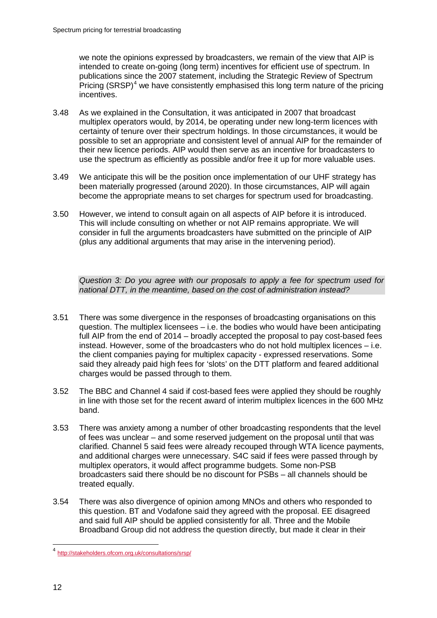we note the opinions expressed by broadcasters, we remain of the view that AIP is intended to create on-going (long term) incentives for efficient use of spectrum. In publications since the 2007 statement, including the Strategic Review of Spectrum Pricing  $(SRSP)^4$  $(SRSP)^4$  we have consistently emphasised this long term nature of the pricing incentives.

- 3.48 As we explained in the Consultation, it was anticipated in 2007 that broadcast multiplex operators would, by 2014, be operating under new long-term licences with certainty of tenure over their spectrum holdings. In those circumstances, it would be possible to set an appropriate and consistent level of annual AIP for the remainder of their new licence periods. AIP would then serve as an incentive for broadcasters to use the spectrum as efficiently as possible and/or free it up for more valuable uses.
- 3.49 We anticipate this will be the position once implementation of our UHF strategy has been materially progressed (around 2020). In those circumstances, AIP will again become the appropriate means to set charges for spectrum used for broadcasting.
- 3.50 However, we intend to consult again on all aspects of AIP before it is introduced. This will include consulting on whether or not AIP remains appropriate. We will consider in full the arguments broadcasters have submitted on the principle of AIP (plus any additional arguments that may arise in the intervening period).

*Question 3: Do you agree with our proposals to apply a fee for spectrum used for national DTT, in the meantime, based on the cost of administration instead?* 

- 3.51 There was some divergence in the responses of broadcasting organisations on this question. The multiplex licensees – i.e. the bodies who would have been anticipating full AIP from the end of 2014 – broadly accepted the proposal to pay cost-based fees instead. However, some of the broadcasters who do not hold multiplex licences – i.e. the client companies paying for multiplex capacity - expressed reservations. Some said they already paid high fees for 'slots' on the DTT platform and feared additional charges would be passed through to them.
- 3.52 The BBC and Channel 4 said if cost-based fees were applied they should be roughly in line with those set for the recent award of interim multiplex licences in the 600 MHz band.
- 3.53 There was anxiety among a number of other broadcasting respondents that the level of fees was unclear – and some reserved judgement on the proposal until that was clarified. Channel 5 said fees were already recouped through WTA licence payments, and additional charges were unnecessary. S4C said if fees were passed through by multiplex operators, it would affect programme budgets. Some non-PSB broadcasters said there should be no discount for PSBs – all channels should be treated equally.
- 3.54 There was also divergence of opinion among MNOs and others who responded to this question. BT and Vodafone said they agreed with the proposal. EE disagreed and said full AIP should be applied consistently for all. Three and the Mobile Broadband Group did not address the question directly, but made it clear in their

<span id="page-14-0"></span> <sup>4</sup> <http://stakeholders.ofcom.org.uk/consultations/srsp/>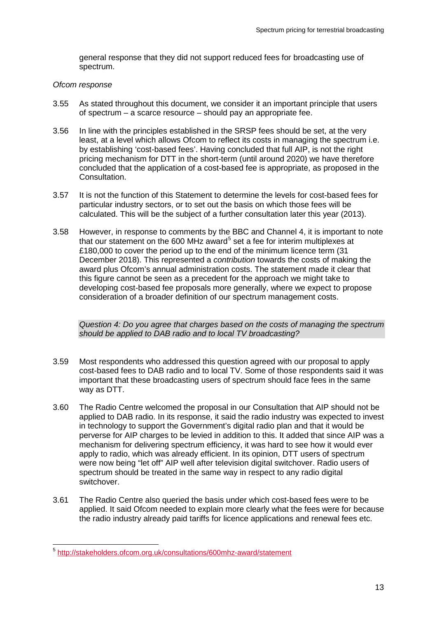general response that they did not support reduced fees for broadcasting use of spectrum.

#### *Ofcom response*

- 3.55 As stated throughout this document, we consider it an important principle that users of spectrum – a scarce resource – should pay an appropriate fee.
- 3.56 In line with the principles established in the SRSP fees should be set, at the very least, at a level which allows Ofcom to reflect its costs in managing the spectrum i.e. by establishing 'cost-based fees'. Having concluded that full AIP, is not the right pricing mechanism for DTT in the short-term (until around 2020) we have therefore concluded that the application of a cost-based fee is appropriate, as proposed in the Consultation.
- 3.57 It is not the function of this Statement to determine the levels for cost-based fees for particular industry sectors, or to set out the basis on which those fees will be calculated. This will be the subject of a further consultation later this year (2013).
- 3.58 However, in response to comments by the BBC and Channel 4, it is important to note that our statement on the 600 MHz award<sup>[5](#page-15-0)</sup> set a fee for interim multiplexes at £180,000 to cover the period up to the end of the minimum licence term (31 December 2018). This represented a *contribution* towards the costs of making the award plus Ofcom's annual administration costs. The statement made it clear that this figure cannot be seen as a precedent for the approach we might take to developing cost-based fee proposals more generally, where we expect to propose consideration of a broader definition of our spectrum management costs.

*Question 4: Do you agree that charges based on the costs of managing the spectrum should be applied to DAB radio and to local TV broadcasting?*

- 3.59 Most respondents who addressed this question agreed with our proposal to apply cost-based fees to DAB radio and to local TV. Some of those respondents said it was important that these broadcasting users of spectrum should face fees in the same way as DTT.
- 3.60 The Radio Centre welcomed the proposal in our Consultation that AIP should not be applied to DAB radio. In its response, it said the radio industry was expected to invest in technology to support the Government's digital radio plan and that it would be perverse for AIP charges to be levied in addition to this. It added that since AIP was a mechanism for delivering spectrum efficiency, it was hard to see how it would ever apply to radio, which was already efficient. In its opinion, DTT users of spectrum were now being "let off" AIP well after television digital switchover. Radio users of spectrum should be treated in the same way in respect to any radio digital switchover.
- 3.61 The Radio Centre also queried the basis under which cost-based fees were to be applied. It said Ofcom needed to explain more clearly what the fees were for because the radio industry already paid tariffs for licence applications and renewal fees etc.

<span id="page-15-0"></span> <sup>5</sup> <http://stakeholders.ofcom.org.uk/consultations/600mhz-award/statement>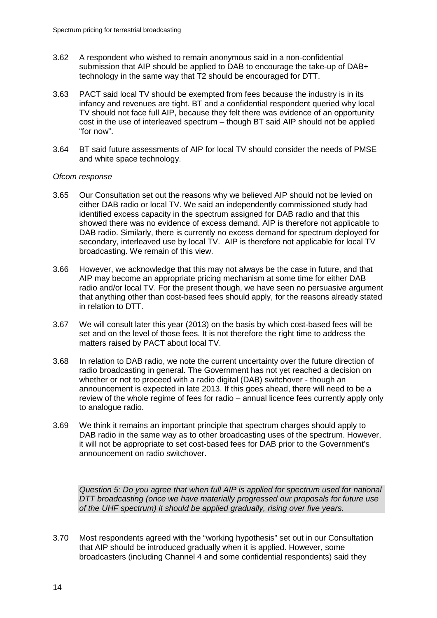- 3.62 A respondent who wished to remain anonymous said in a non-confidential submission that AIP should be applied to DAB to encourage the take-up of DAB+ technology in the same way that T2 should be encouraged for DTT.
- 3.63 PACT said local TV should be exempted from fees because the industry is in its infancy and revenues are tight. BT and a confidential respondent queried why local TV should not face full AIP, because they felt there was evidence of an opportunity cost in the use of interleaved spectrum – though BT said AIP should not be applied "for now".
- 3.64 BT said future assessments of AIP for local TV should consider the needs of PMSE and white space technology.

#### *Ofcom response*

- 3.65 Our Consultation set out the reasons why we believed AIP should not be levied on either DAB radio or local TV. We said an independently commissioned study had identified excess capacity in the spectrum assigned for DAB radio and that this showed there was no evidence of excess demand. AIP is therefore not applicable to DAB radio. Similarly, there is currently no excess demand for spectrum deployed for secondary, interleaved use by local TV. AIP is therefore not applicable for local TV broadcasting. We remain of this view.
- 3.66 However, we acknowledge that this may not always be the case in future, and that AIP may become an appropriate pricing mechanism at some time for either DAB radio and/or local TV. For the present though, we have seen no persuasive argument that anything other than cost-based fees should apply, for the reasons already stated in relation to DTT.
- 3.67 We will consult later this year (2013) on the basis by which cost-based fees will be set and on the level of those fees. It is not therefore the right time to address the matters raised by PACT about local TV.
- 3.68 In relation to DAB radio, we note the current uncertainty over the future direction of radio broadcasting in general. The Government has not yet reached a decision on whether or not to proceed with a radio digital (DAB) switchover - though an announcement is expected in late 2013. If this goes ahead, there will need to be a review of the whole regime of fees for radio – annual licence fees currently apply only to analogue radio.
- 3.69 We think it remains an important principle that spectrum charges should apply to DAB radio in the same way as to other broadcasting uses of the spectrum. However, it will not be appropriate to set cost-based fees for DAB prior to the Government's announcement on radio switchover.

*Question 5: Do you agree that when full AIP is applied for spectrum used for national DTT broadcasting (once we have materially progressed our proposals for future use of the UHF spectrum) it should be applied gradually, rising over five years.* 

3.70 Most respondents agreed with the "working hypothesis" set out in our Consultation that AIP should be introduced gradually when it is applied. However, some broadcasters (including Channel 4 and some confidential respondents) said they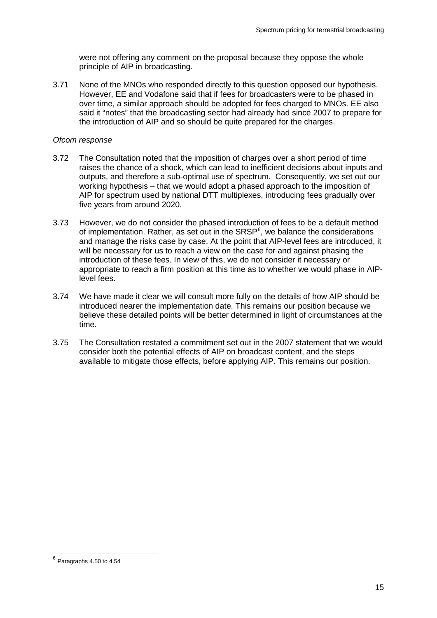were not offering any comment on the proposal because they oppose the whole principle of AIP in broadcasting.

3.71 None of the MNOs who responded directly to this question opposed our hypothesis. However, EE and Vodafone said that if fees for broadcasters were to be phased in over time, a similar approach should be adopted for fees charged to MNOs. EE also said it "notes" that the broadcasting sector had already had since 2007 to prepare for the introduction of AIP and so should be quite prepared for the charges.

#### *Ofcom response*

- 3.72 The Consultation noted that the imposition of charges over a short period of time raises the chance of a shock, which can lead to inefficient decisions about inputs and outputs, and therefore a sub-optimal use of spectrum. Consequently, we set out our working hypothesis – that we would adopt a phased approach to the imposition of AIP for spectrum used by national DTT multiplexes, introducing fees gradually over five years from around 2020.
- 3.73 However, we do not consider the phased introduction of fees to be a default method of implementation. Rather, as set out in the SRSP<sup>[6](#page-17-0)</sup>, we balance the considerations and manage the risks case by case. At the point that AIP-level fees are introduced, it will be necessary for us to reach a view on the case for and against phasing the introduction of these fees. In view of this, we do not consider it necessary or appropriate to reach a firm position at this time as to whether we would phase in AIPlevel fees.
- 3.74 We have made it clear we will consult more fully on the details of how AIP should be introduced nearer the implementation date. This remains our position because we believe these detailed points will be better determined in light of circumstances at the time.
- 3.75 The Consultation restated a commitment set out in the 2007 statement that we would consider both the potential effects of AIP on broadcast content, and the steps available to mitigate those effects, before applying AIP. This remains our position.

<span id="page-17-0"></span> $<sup>6</sup>$  Paragraphs 4.50 to 4.54</sup>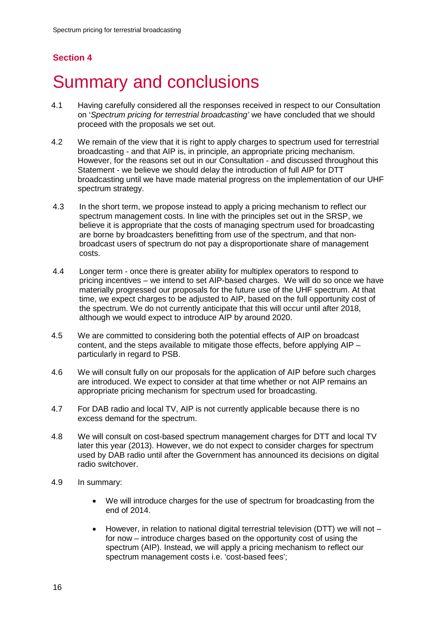## <span id="page-18-0"></span>**Summary and conclusions**

- 4.1 Having carefully considered all the responses received in respect to our Consultation on '*Spectrum pricing for terrestrial broadcasting'* we have concluded that we should proceed with the proposals we set out.
- 4.2 We remain of the view that it is right to apply charges to spectrum used for terrestrial broadcasting - and that AIP is, in principle, an appropriate pricing mechanism. However, for the reasons set out in our Consultation - and discussed throughout this Statement - we believe we should delay the introduction of full AIP for DTT broadcasting until we have made material progress on the implementation of our UHF spectrum strategy.
- 4.3 In the short term, we propose instead to apply a pricing mechanism to reflect our spectrum management costs. In line with the principles set out in the SRSP, we believe it is appropriate that the costs of managing spectrum used for broadcasting are borne by broadcasters benefitting from use of the spectrum, and that nonbroadcast users of spectrum do not pay a disproportionate share of management costs.
- 4.4 Longer term once there is greater ability for multiplex operators to respond to pricing incentives – we intend to set AIP-based charges. We will do so once we have materially progressed our proposals for the future use of the UHF spectrum. At that time, we expect charges to be adjusted to AIP, based on the full opportunity cost of the spectrum. We do not currently anticipate that this will occur until after 2018, although we would expect to introduce AIP by around 2020.
- 4.5 We are committed to considering both the potential effects of AIP on broadcast content, and the steps available to mitigate those effects, before applying AIP – particularly in regard to PSB.
- 4.6 We will consult fully on our proposals for the application of AIP before such charges are introduced. We expect to consider at that time whether or not AIP remains an appropriate pricing mechanism for spectrum used for broadcasting.
- 4.7 For DAB radio and local TV, AIP is not currently applicable because there is no excess demand for the spectrum.
- 4.8 We will consult on cost-based spectrum management charges for DTT and local TV later this year (2013). However, we do not expect to consider charges for spectrum used by DAB radio until after the Government has announced its decisions on digital radio switchover.
- 4.9 In summary:
	- We will introduce charges for the use of spectrum for broadcasting from the end of 2014.
	- However, in relation to national digital terrestrial television (DTT) we will not  $$ for now – introduce charges based on the opportunity cost of using the spectrum (AIP). Instead, we will apply a pricing mechanism to reflect our spectrum management costs i.e. 'cost-based fees';